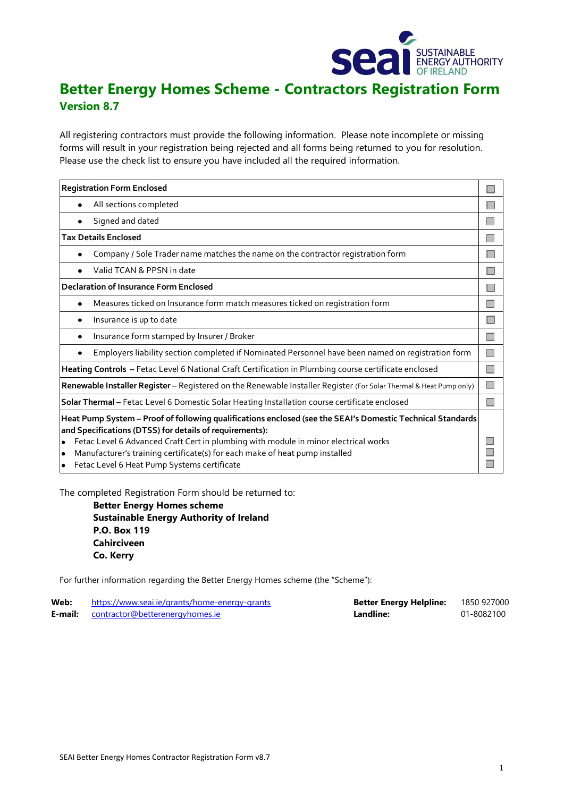

# **Better Energy Homes Scheme - Contractors Registration Form Version 8.7**

All registering contractors must provide the following information. Please note incomplete or missing forms will result in your registration being rejected and all forms being returned to you for resolution. Please use the check list to ensure you have included all the required information.

| <b>Registration Form Enclosed</b>                                                                                                                                                                                                                                                                                                                                                                                                 |  |  |  |  |  |  |
|-----------------------------------------------------------------------------------------------------------------------------------------------------------------------------------------------------------------------------------------------------------------------------------------------------------------------------------------------------------------------------------------------------------------------------------|--|--|--|--|--|--|
| All sections completed                                                                                                                                                                                                                                                                                                                                                                                                            |  |  |  |  |  |  |
| Signed and dated                                                                                                                                                                                                                                                                                                                                                                                                                  |  |  |  |  |  |  |
| <b>Tax Details Enclosed</b>                                                                                                                                                                                                                                                                                                                                                                                                       |  |  |  |  |  |  |
| Company / Sole Trader name matches the name on the contractor registration form                                                                                                                                                                                                                                                                                                                                                   |  |  |  |  |  |  |
| Valid TCAN & PPSN in date                                                                                                                                                                                                                                                                                                                                                                                                         |  |  |  |  |  |  |
| <b>Declaration of Insurance Form Enclosed</b>                                                                                                                                                                                                                                                                                                                                                                                     |  |  |  |  |  |  |
| Measures ticked on Insurance form match measures ticked on registration form                                                                                                                                                                                                                                                                                                                                                      |  |  |  |  |  |  |
| Insurance is up to date                                                                                                                                                                                                                                                                                                                                                                                                           |  |  |  |  |  |  |
| Insurance form stamped by Insurer / Broker<br>$\bullet$                                                                                                                                                                                                                                                                                                                                                                           |  |  |  |  |  |  |
| Employers liability section completed if Nominated Personnel have been named on registration form                                                                                                                                                                                                                                                                                                                                 |  |  |  |  |  |  |
| Heating Controls - Fetac Level 6 National Craft Certification in Plumbing course certificate enclosed                                                                                                                                                                                                                                                                                                                             |  |  |  |  |  |  |
| Renewable Installer Register - Registered on the Renewable Installer Register (For Solar Thermal & Heat Pump only)                                                                                                                                                                                                                                                                                                                |  |  |  |  |  |  |
| Solar Thermal - Fetac Level 6 Domestic Solar Heating Installation course certificate enclosed                                                                                                                                                                                                                                                                                                                                     |  |  |  |  |  |  |
| Heat Pump System - Proof of following qualifications enclosed (see the SEAI's Domestic Technical Standards<br>and Specifications (DTSS) for details of requirements):<br>Fetac Level 6 Advanced Craft Cert in plumbing with module in minor electrical works<br>$\bullet$<br>Manufacturer's training certificate(s) for each make of heat pump installed<br>$\bullet$<br>Fetac Level 6 Heat Pump Systems certificate<br>$\bullet$ |  |  |  |  |  |  |

The completed Registration Form should be returned to:

**Better Energy Homes scheme Sustainable Energy Authority of Ireland P.O. Box 119 Cahirciveen Co. Kerry**

For further information regarding the Better Energy Homes scheme (the "Scheme"):

| Web: | https://www.seai.ie/grants/home-energy-grants  | <b>Better Energy Helpline:</b> | 1850 927000 |
|------|------------------------------------------------|--------------------------------|-------------|
|      | <b>E-mail:</b> contractor@betterenergyhomes.ie | Landline:                      | 01-8082100  |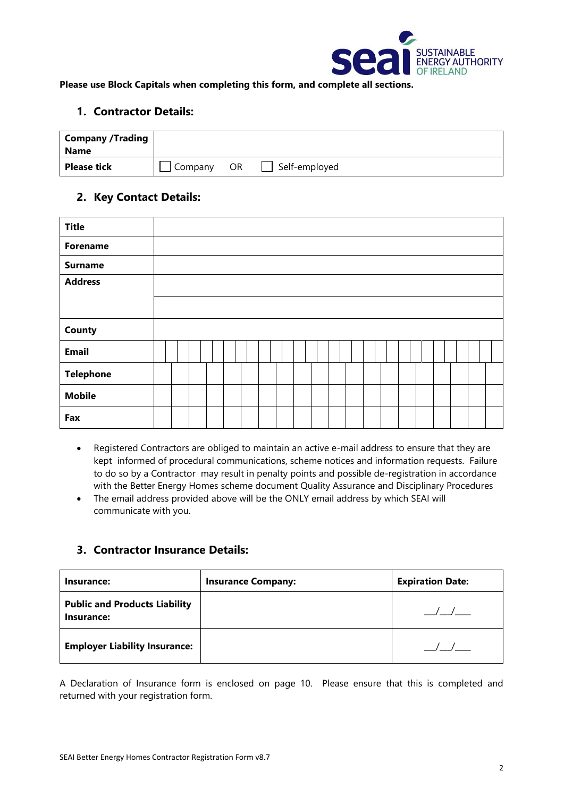

**Please use Block Capitals when completing this form, and complete all sections.** 

## **1. Contractor Details:**

| <b>Company /Trading</b><br><b>Name</b> |         |           |               |
|----------------------------------------|---------|-----------|---------------|
| <b>Please tick</b>                     | Company | <b>OR</b> | Self-employed |

## **2. Key Contact Details:**

| <b>Title</b>     |  |  |  |  |  |  |  |  |  |  |  |  |
|------------------|--|--|--|--|--|--|--|--|--|--|--|--|
| <b>Forename</b>  |  |  |  |  |  |  |  |  |  |  |  |  |
| <b>Surname</b>   |  |  |  |  |  |  |  |  |  |  |  |  |
| <b>Address</b>   |  |  |  |  |  |  |  |  |  |  |  |  |
|                  |  |  |  |  |  |  |  |  |  |  |  |  |
| County           |  |  |  |  |  |  |  |  |  |  |  |  |
| <b>Email</b>     |  |  |  |  |  |  |  |  |  |  |  |  |
| <b>Telephone</b> |  |  |  |  |  |  |  |  |  |  |  |  |
| <b>Mobile</b>    |  |  |  |  |  |  |  |  |  |  |  |  |
| Fax              |  |  |  |  |  |  |  |  |  |  |  |  |

- Registered Contractors are obliged to maintain an active e-mail address to ensure that they are kept informed of procedural communications, scheme notices and information requests. Failure to do so by a Contractor may result in penalty points and possible de-registration in accordance with the Better Energy Homes scheme document Quality Assurance and Disciplinary Procedures
- The email address provided above will be the ONLY email address by which SEAI will communicate with you.

### **3. Contractor Insurance Details:**

| Insurance:                                         | <b>Insurance Company:</b> | <b>Expiration Date:</b> |
|----------------------------------------------------|---------------------------|-------------------------|
| <b>Public and Products Liability</b><br>Insurance: |                           |                         |
| <b>Employer Liability Insurance:</b>               |                           |                         |

A Declaration of Insurance form is enclosed on page 10. Please ensure that this is completed and returned with your registration form.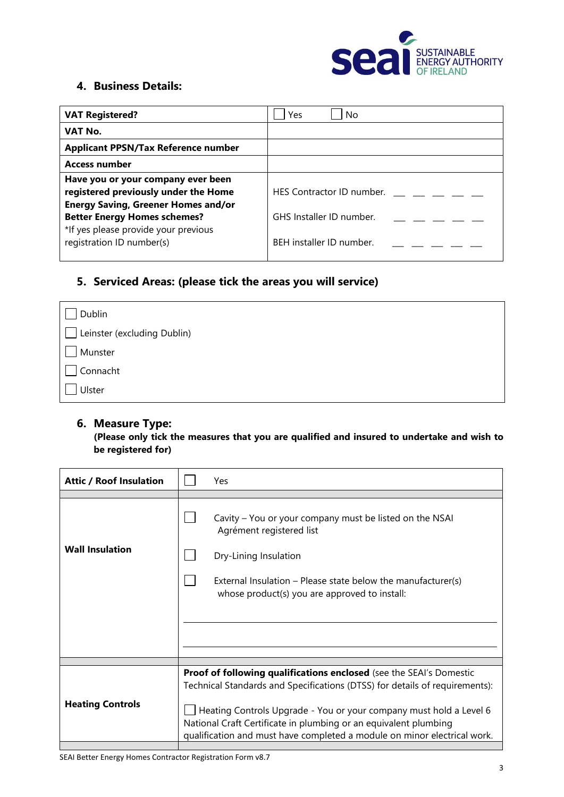

## **4. Business Details:**

| <b>VAT Registered?</b>                     | Yes<br>No                 |
|--------------------------------------------|---------------------------|
| VAT No.                                    |                           |
| <b>Applicant PPSN/Tax Reference number</b> |                           |
| <b>Access number</b>                       |                           |
| Have you or your company ever been         |                           |
| registered previously under the Home       | HES Contractor ID number. |
| <b>Energy Saving, Greener Homes and/or</b> |                           |
| <b>Better Energy Homes schemes?</b>        | GHS Installer ID number.  |
| *If yes please provide your previous       |                           |
| registration ID number(s)                  | BEH installer ID number.  |
|                                            |                           |

# **5. Serviced Areas: (please tick the areas you will service)**

| Dublin                      |
|-----------------------------|
| Leinster (excluding Dublin) |
| Munster                     |
| Connacht                    |
| Ulster                      |

## **6. Measure Type:**

**(Please only tick the measures that you are qualified and insured to undertake and wish to be registered for)**

| <b>Attic / Roof Insulation</b> | Yes                                                                                                                                                                                                                |
|--------------------------------|--------------------------------------------------------------------------------------------------------------------------------------------------------------------------------------------------------------------|
|                                |                                                                                                                                                                                                                    |
|                                | Cavity - You or your company must be listed on the NSAI<br>Agrément registered list                                                                                                                                |
| <b>Wall Insulation</b>         | Dry-Lining Insulation                                                                                                                                                                                              |
|                                | External Insulation – Please state below the manufacturer(s)<br>whose product(s) you are approved to install:                                                                                                      |
|                                |                                                                                                                                                                                                                    |
|                                |                                                                                                                                                                                                                    |
|                                |                                                                                                                                                                                                                    |
|                                |                                                                                                                                                                                                                    |
|                                | <b>Proof of following qualifications enclosed</b> (see the SEAI's Domestic<br>Technical Standards and Specifications (DTSS) for details of requirements):                                                          |
| <b>Heating Controls</b>        | Heating Controls Upgrade - You or your company must hold a Level 6<br>National Craft Certificate in plumbing or an equivalent plumbing<br>qualification and must have completed a module on minor electrical work. |
|                                |                                                                                                                                                                                                                    |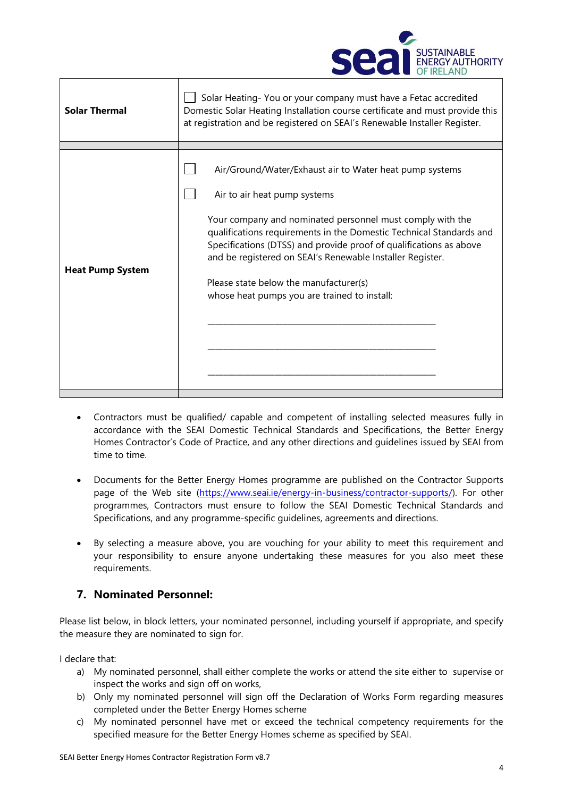

| <b>Solar Thermal</b>    | Solar Heating-You or your company must have a Fetac accredited<br>Domestic Solar Heating Installation course certificate and must provide this<br>at registration and be registered on SEAI's Renewable Installer Register.                                                                                                                                   |
|-------------------------|---------------------------------------------------------------------------------------------------------------------------------------------------------------------------------------------------------------------------------------------------------------------------------------------------------------------------------------------------------------|
|                         | Air/Ground/Water/Exhaust air to Water heat pump systems<br>Air to air heat pump systems                                                                                                                                                                                                                                                                       |
| <b>Heat Pump System</b> | Your company and nominated personnel must comply with the<br>qualifications requirements in the Domestic Technical Standards and<br>Specifications (DTSS) and provide proof of qualifications as above<br>and be registered on SEAI's Renewable Installer Register.<br>Please state below the manufacturer(s)<br>whose heat pumps you are trained to install: |
|                         |                                                                                                                                                                                                                                                                                                                                                               |

- Contractors must be qualified/ capable and competent of installing selected measures fully in accordance with the SEAI Domestic Technical Standards and Specifications, the Better Energy Homes Contractor's Code of Practice, and any other directions and guidelines issued by SEAI from time to time.
- Documents for the Better Energy Homes programme are published on the Contractor Supports page of the Web site [\(https://www.seai.ie/energy-in-business/contractor-supports/\)](https://www.seai.ie/energy-in-business/contractor-supports/). For other programmes, Contractors must ensure to follow the SEAI Domestic Technical Standards and Specifications, and any programme-specific guidelines, agreements and directions.
- By selecting a measure above, you are vouching for your ability to meet this requirement and your responsibility to ensure anyone undertaking these measures for you also meet these requirements.

## **7. Nominated Personnel:**

Please list below, in block letters, your nominated personnel, including yourself if appropriate, and specify the measure they are nominated to sign for.

I declare that:

- a) My nominated personnel, shall either complete the works or attend the site either to supervise or inspect the works and sign off on works,
- b) Only my nominated personnel will sign off the Declaration of Works Form regarding measures completed under the Better Energy Homes scheme
- c) My nominated personnel have met or exceed the technical competency requirements for the specified measure for the Better Energy Homes scheme as specified by SEAI.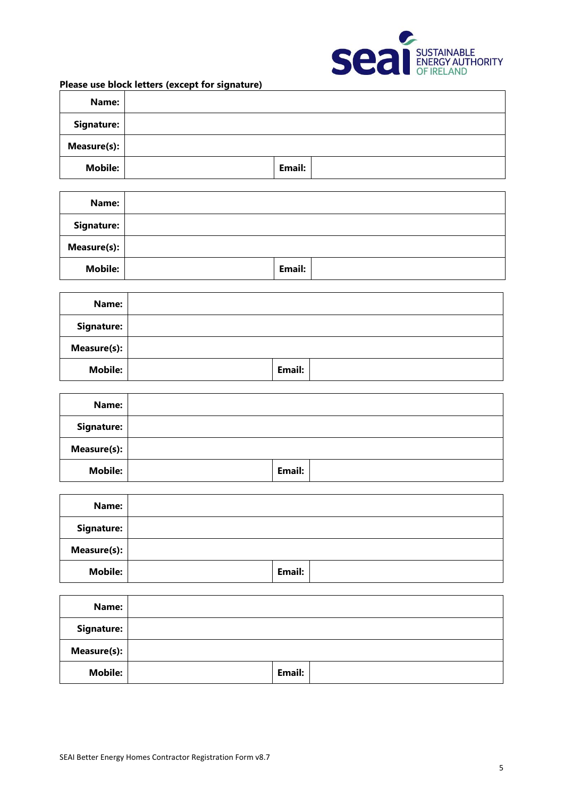

**Name: Signature: Measure(s): Mobile: Email:**

| Please use block letters (except for signature) |  |  |  |  |  |
|-------------------------------------------------|--|--|--|--|--|
|-------------------------------------------------|--|--|--|--|--|

| Name:             |        |  |
|-------------------|--------|--|
| <b>Signature:</b> |        |  |
| Measure(s):       |        |  |
| <b>Mobile:</b>    | Email: |  |

| Name:          |        |  |
|----------------|--------|--|
| Signature:     |        |  |
| Measure(s):    |        |  |
| <b>Mobile:</b> | Email: |  |

| Name:               |        |  |
|---------------------|--------|--|
| Signature:          |        |  |
| Measure(s): $\vert$ |        |  |
| <b>Mobile:</b>      | Email: |  |

| Name:           |        |  |
|-----------------|--------|--|
| Signature:      |        |  |
| Measure $(s)$ : |        |  |
| <b>Mobile:</b>  | Email: |  |

| Name:              |        |  |
|--------------------|--------|--|
| Signature:         |        |  |
| <b>Measure(s):</b> |        |  |
| <b>Mobile:</b>     | Email: |  |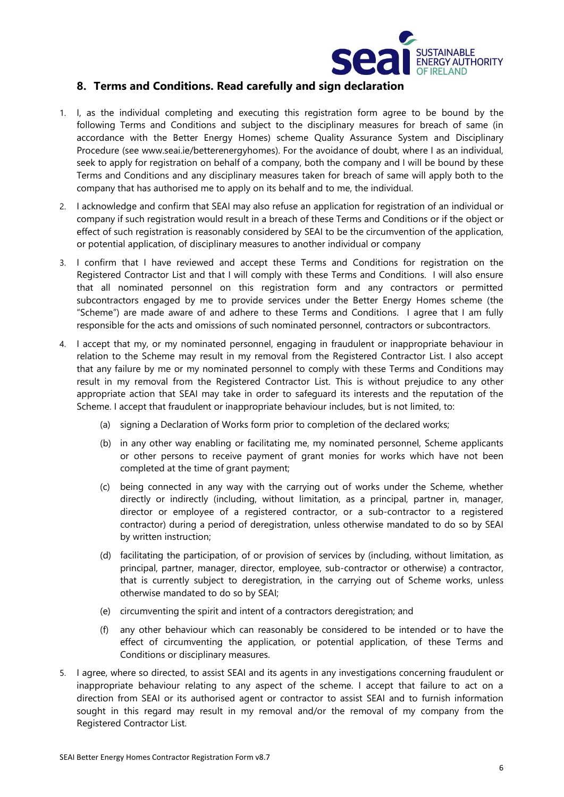

## **8. Terms and Conditions. Read carefully and sign declaration**

- 1. I, as the individual completing and executing this registration form agree to be bound by the following Terms and Conditions and subject to the disciplinary measures for breach of same (in accordance with the Better Energy Homes) scheme Quality Assurance System and Disciplinary Procedure (see www.seai.ie/betterenergyhomes). For the avoidance of doubt, where I as an individual, seek to apply for registration on behalf of a company, both the company and I will be bound by these Terms and Conditions and any disciplinary measures taken for breach of same will apply both to the company that has authorised me to apply on its behalf and to me, the individual.
- 2. I acknowledge and confirm that SEAI may also refuse an application for registration of an individual or company if such registration would result in a breach of these Terms and Conditions or if the object or effect of such registration is reasonably considered by SEAI to be the circumvention of the application, or potential application, of disciplinary measures to another individual or company
- 3. I confirm that I have reviewed and accept these Terms and Conditions for registration on the Registered Contractor List and that I will comply with these Terms and Conditions. I will also ensure that all nominated personnel on this registration form and any contractors or permitted subcontractors engaged by me to provide services under the Better Energy Homes scheme (the "Scheme") are made aware of and adhere to these Terms and Conditions. I agree that I am fully responsible for the acts and omissions of such nominated personnel, contractors or subcontractors.
- 4. I accept that my, or my nominated personnel, engaging in fraudulent or inappropriate behaviour in relation to the Scheme may result in my removal from the Registered Contractor List. I also accept that any failure by me or my nominated personnel to comply with these Terms and Conditions may result in my removal from the Registered Contractor List. This is without prejudice to any other appropriate action that SEAI may take in order to safeguard its interests and the reputation of the Scheme. I accept that fraudulent or inappropriate behaviour includes, but is not limited, to:
	- (a) signing a Declaration of Works form prior to completion of the declared works;
	- (b) in any other way enabling or facilitating me, my nominated personnel, Scheme applicants or other persons to receive payment of grant monies for works which have not been completed at the time of grant payment;
	- (c) being connected in any way with the carrying out of works under the Scheme, whether directly or indirectly (including, without limitation, as a principal, partner in, manager, director or employee of a registered contractor, or a sub-contractor to a registered contractor) during a period of deregistration, unless otherwise mandated to do so by SEAI by written instruction;
	- (d) facilitating the participation, of or provision of services by (including, without limitation, as principal, partner, manager, director, employee, sub-contractor or otherwise) a contractor, that is currently subject to deregistration, in the carrying out of Scheme works, unless otherwise mandated to do so by SEAI;
	- (e) circumventing the spirit and intent of a contractors deregistration; and
	- (f) any other behaviour which can reasonably be considered to be intended or to have the effect of circumventing the application, or potential application, of these Terms and Conditions or disciplinary measures.
- 5. I agree, where so directed, to assist SEAI and its agents in any investigations concerning fraudulent or inappropriate behaviour relating to any aspect of the scheme. I accept that failure to act on a direction from SEAI or its authorised agent or contractor to assist SEAI and to furnish information sought in this regard may result in my removal and/or the removal of my company from the Registered Contractor List.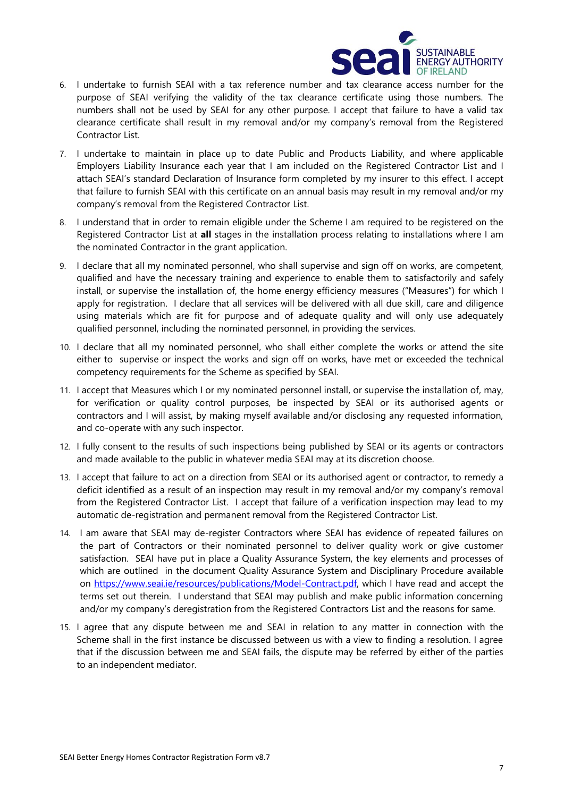

- 6. I undertake to furnish SEAI with a tax reference number and tax clearance access number for the purpose of SEAI verifying the validity of the tax clearance certificate using those numbers. The numbers shall not be used by SEAI for any other purpose. I accept that failure to have a valid tax clearance certificate shall result in my removal and/or my company's removal from the Registered Contractor List.
- 7. I undertake to maintain in place up to date Public and Products Liability, and where applicable Employers Liability Insurance each year that I am included on the Registered Contractor List and I attach SEAI's standard Declaration of Insurance form completed by my insurer to this effect. I accept that failure to furnish SEAI with this certificate on an annual basis may result in my removal and/or my company's removal from the Registered Contractor List.
- 8. I understand that in order to remain eligible under the Scheme I am required to be registered on the Registered Contractor List at **all** stages in the installation process relating to installations where I am the nominated Contractor in the grant application.
- 9. I declare that all my nominated personnel, who shall supervise and sign off on works, are competent, qualified and have the necessary training and experience to enable them to satisfactorily and safely install, or supervise the installation of, the home energy efficiency measures ("Measures") for which I apply for registration. I declare that all services will be delivered with all due skill, care and diligence using materials which are fit for purpose and of adequate quality and will only use adequately qualified personnel, including the nominated personnel, in providing the services.
- 10. I declare that all my nominated personnel, who shall either complete the works or attend the site either to supervise or inspect the works and sign off on works, have met or exceeded the technical competency requirements for the Scheme as specified by SEAI.
- 11. I accept that Measures which I or my nominated personnel install, or supervise the installation of, may, for verification or quality control purposes, be inspected by SEAI or its authorised agents or contractors and I will assist, by making myself available and/or disclosing any requested information, and co-operate with any such inspector.
- 12. I fully consent to the results of such inspections being published by SEAI or its agents or contractors and made available to the public in whatever media SEAI may at its discretion choose.
- 13. I accept that failure to act on a direction from SEAI or its authorised agent or contractor, to remedy a deficit identified as a result of an inspection may result in my removal and/or my company's removal from the Registered Contractor List. I accept that failure of a verification inspection may lead to my automatic de-registration and permanent removal from the Registered Contractor List.
- 14. I am aware that SEAI may de-register Contractors where SEAI has evidence of repeated failures on the part of Contractors or their nominated personnel to deliver quality work or give customer satisfaction. SEAI have put in place a Quality Assurance System, the key elements and processes of which are outlined in the document Quality Assurance System and Disciplinary Procedure available on [https://www.seai.ie/resources/publications/Model-Contract.pdf,](https://www.seai.ie/resources/publications/Model-Contract.pdf) which I have read and accept the terms set out therein. I understand that SEAI may publish and make public information concerning and/or my company's deregistration from the Registered Contractors List and the reasons for same.
- 15. I agree that any dispute between me and SEAI in relation to any matter in connection with the Scheme shall in the first instance be discussed between us with a view to finding a resolution. I agree that if the discussion between me and SEAI fails, the dispute may be referred by either of the parties to an independent mediator.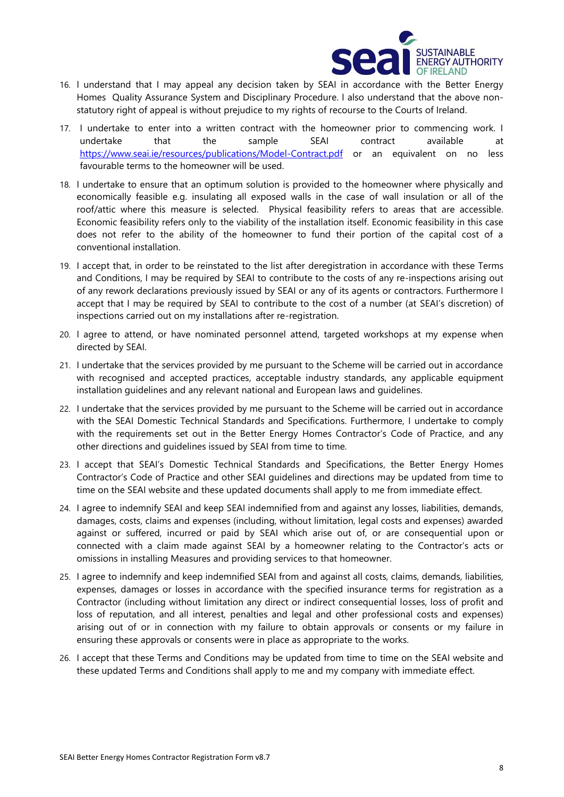

- 16. I understand that I may appeal any decision taken by SEAI in accordance with the Better Energy Homes Quality Assurance System and Disciplinary Procedure. I also understand that the above nonstatutory right of appeal is without prejudice to my rights of recourse to the Courts of Ireland.
- 17. I undertake to enter into a written contract with the homeowner prior to commencing work. I undertake that the sample SEAI contract available at <https://www.seai.ie/resources/publications/Model-Contract.pdf> or an equivalent on no less favourable terms to the homeowner will be used.
- 18. I undertake to ensure that an optimum solution is provided to the homeowner where physically and economically feasible e.g. insulating all exposed walls in the case of wall insulation or all of the roof/attic where this measure is selected. Physical feasibility refers to areas that are accessible. Economic feasibility refers only to the viability of the installation itself. Economic feasibility in this case does not refer to the ability of the homeowner to fund their portion of the capital cost of a conventional installation.
- 19. I accept that, in order to be reinstated to the list after deregistration in accordance with these Terms and Conditions, I may be required by SEAI to contribute to the costs of any re-inspections arising out of any rework declarations previously issued by SEAI or any of its agents or contractors. Furthermore I accept that I may be required by SEAI to contribute to the cost of a number (at SEAI's discretion) of inspections carried out on my installations after re-registration.
- 20. I agree to attend, or have nominated personnel attend, targeted workshops at my expense when directed by SEAI.
- 21. I undertake that the services provided by me pursuant to the Scheme will be carried out in accordance with recognised and accepted practices, acceptable industry standards, any applicable equipment installation guidelines and any relevant national and European laws and guidelines.
- 22. I undertake that the services provided by me pursuant to the Scheme will be carried out in accordance with the SEAI Domestic Technical Standards and Specifications. Furthermore, I undertake to comply with the requirements set out in the Better Energy Homes Contractor's Code of Practice, and any other directions and guidelines issued by SEAI from time to time.
- 23. I accept that SEAI's Domestic Technical Standards and Specifications, the Better Energy Homes Contractor's Code of Practice and other SEAI guidelines and directions may be updated from time to time on the SEAI website and these updated documents shall apply to me from immediate effect.
- 24. I agree to indemnify SEAI and keep SEAI indemnified from and against any losses, liabilities, demands, damages, costs, claims and expenses (including, without limitation, legal costs and expenses) awarded against or suffered, incurred or paid by SEAI which arise out of, or are consequential upon or connected with a claim made against SEAI by a homeowner relating to the Contractor's acts or omissions in installing Measures and providing services to that homeowner.
- 25. I agree to indemnify and keep indemnified SEAI from and against all costs, claims, demands, liabilities, expenses, damages or losses in accordance with the specified insurance terms for registration as a Contractor (including without limitation any direct or indirect consequential losses, loss of profit and loss of reputation, and all interest, penalties and legal and other professional costs and expenses) arising out of or in connection with my failure to obtain approvals or consents or my failure in ensuring these approvals or consents were in place as appropriate to the works.
- 26. I accept that these Terms and Conditions may be updated from time to time on the SEAI website and these updated Terms and Conditions shall apply to me and my company with immediate effect.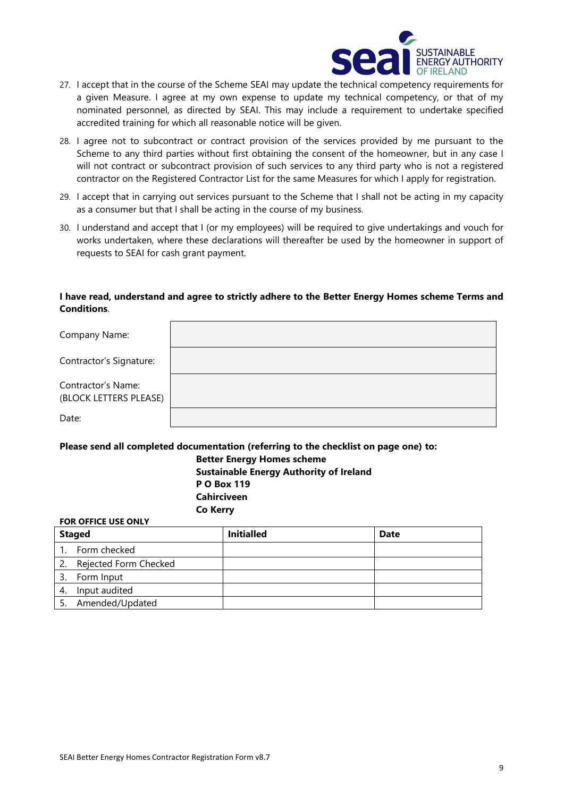

- 27. I accept that in the course of the Scheme SEAI may update the technical competency requirements for a given Measure. I agree at my own expense to update my technical competency, or that of my nominated personnel, as directed by SEAI. This may include a requirement to undertake specified accredited training for which all reasonable notice will be given.
- 28. I agree not to subcontract or contract provision of the services provided by me pursuant to the Scheme to any third parties without first obtaining the consent of the homeowner, but in any case I will not contract or subcontract provision of such services to any third party who is not a registered contractor on the Registered Contractor List for the same Measures for which I apply for registration.
- 29. I accept that in carrying out services pursuant to the Scheme that I shall not be acting in my capacity as a consumer but that I shall be acting in the course of my business.
- 30. I understand and accept that I (or my employees) will be required to give undertakings and vouch for works undertaken, where these declarations will thereafter be used by the homeowner in support of requests to SEAI for cash grant payment.

#### **I have read, understand and agree to strictly adhere to the Better Energy Homes scheme Terms and Conditions**.

| Company Name:                                |  |
|----------------------------------------------|--|
| Contractor's Signature:                      |  |
| Contractor's Name:<br>(BLOCK LETTERS PLEASE) |  |
| Date:                                        |  |

#### **Please send all completed documentation (referring to the checklist on page one) to:**

**Co Kerry**

**Better Energy Homes scheme Sustainable Energy Authority of Ireland P O Box 119 Cahirciveen**

#### **FOR OFFICE USE ONLY**

| <b>Staged</b> |                       | <b>Initialled</b> | <b>Date</b> |
|---------------|-----------------------|-------------------|-------------|
|               | Form checked          |                   |             |
| 2.            | Rejected Form Checked |                   |             |
| 3.            | Form Input            |                   |             |
| 4.            | Input audited         |                   |             |
|               | Amended/Updated       |                   |             |